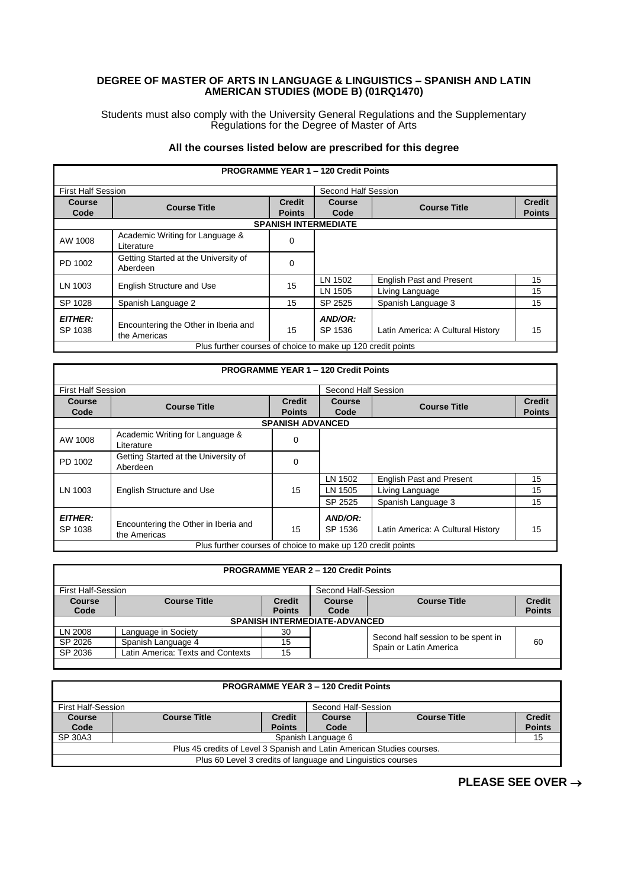## **DEGREE OF MASTER OF ARTS IN LANGUAGE & LINGUISTICS – SPANISH AND LATIN AMERICAN STUDIES (MODE B) (01RQ1470)**

Students must also comply with the University General Regulations and the Supplementary Regulations for the Degree of Master of Arts

## **All the courses listed below are prescribed for this degree**

| <b>PROGRAMME YEAR 1 - 120 Credit Points</b>                 |                                                      |                     |                    |                                   |               |  |
|-------------------------------------------------------------|------------------------------------------------------|---------------------|--------------------|-----------------------------------|---------------|--|
| <b>First Half Session</b>                                   |                                                      | Second Half Session |                    |                                   |               |  |
| <b>Course</b>                                               | <b>Course Title</b>                                  | <b>Credit</b>       | <b>Course</b>      | <b>Course Title</b>               | <b>Credit</b> |  |
| Code                                                        |                                                      | <b>Points</b>       | Code               |                                   | <b>Points</b> |  |
|                                                             | <b>SPANISH INTERMEDIATE</b>                          |                     |                    |                                   |               |  |
| AW 1008                                                     | Academic Writing for Language &<br>Literature        | 0                   |                    |                                   |               |  |
| PD 1002                                                     | Getting Started at the University of<br>Aberdeen     | 0                   |                    |                                   |               |  |
| LN 1003                                                     | <b>English Structure and Use</b>                     | 15                  | LN 1502            | <b>English Past and Present</b>   | 15            |  |
|                                                             |                                                      |                     | LN 1505            | Living Language                   | 15            |  |
| SP 1028                                                     | Spanish Language 2                                   | 15                  | SP 2525            | Spanish Language 3                | 15            |  |
| <b>EITHER:</b><br>SP 1038                                   | Encountering the Other in Iberia and<br>the Americas | 15                  | AND/OR:<br>SP 1536 | Latin America: A Cultural History | 15            |  |
| Plus further courses of choice to make up 120 credit points |                                                      |                     |                    |                                   |               |  |

| <b>PROGRAMME YEAR 1 - 120 Credit Points</b> |                                                             |                                |                     |                                   |                                |
|---------------------------------------------|-------------------------------------------------------------|--------------------------------|---------------------|-----------------------------------|--------------------------------|
| <b>First Half Session</b>                   |                                                             |                                | Second Half Session |                                   |                                |
| <b>Course</b><br>Code                       | <b>Course Title</b>                                         | <b>Credit</b><br><b>Points</b> | Course<br>Code      | <b>Course Title</b>               | <b>Credit</b><br><b>Points</b> |
|                                             | <b>SPANISH ADVANCED</b>                                     |                                |                     |                                   |                                |
| AW 1008                                     | Academic Writing for Language &<br>Literature               | 0                              |                     |                                   |                                |
| PD 1002                                     | Getting Started at the University of<br>Aberdeen            | 0                              |                     |                                   |                                |
|                                             |                                                             |                                | LN 1502             | <b>English Past and Present</b>   | 15                             |
| LN 1003                                     | <b>English Structure and Use</b>                            | 15                             | LN 1505             | Living Language                   | 15                             |
|                                             |                                                             |                                | SP 2525             | Spanish Language 3                | 15                             |
| <b>EITHER:</b><br>SP 1038                   | Encountering the Other in Iberia and<br>the Americas        | 15                             | AND/OR:<br>SP 1536  | Latin America: A Cultural History | 15                             |
|                                             | Plus further courses of choice to make up 120 credit points |                                |                     |                                   |                                |

| <b>PROGRAMME YEAR 2 - 120 Credit Points</b> |                                      |                                |                |                                                              |                                |
|---------------------------------------------|--------------------------------------|--------------------------------|----------------|--------------------------------------------------------------|--------------------------------|
| First Half-Session<br>Second Half-Session   |                                      |                                |                |                                                              |                                |
| <b>Course</b><br>Code                       | <b>Course Title</b>                  | <b>Credit</b><br><b>Points</b> | Course<br>Code | <b>Course Title</b>                                          | <b>Credit</b><br><b>Points</b> |
|                                             | <b>SPANISH INTERMEDIATE-ADVANCED</b> |                                |                |                                                              |                                |
| LN 2008                                     | Language in Society                  | 30                             |                |                                                              |                                |
| SP 2026                                     | Spanish Language 4                   | 15                             |                | Second half session to be spent in<br>Spain or Latin America | 60                             |
| SP 2036                                     | Latin America: Texts and Contexts    | 15                             |                |                                                              |                                |

| <b>PROGRAMME YEAR 3 - 120 Credit Points</b>                 |                                                                        |               |                    |                     |               |
|-------------------------------------------------------------|------------------------------------------------------------------------|---------------|--------------------|---------------------|---------------|
|                                                             |                                                                        |               |                    |                     |               |
|                                                             | First Half-Session<br>Second Half-Session                              |               |                    |                     |               |
| Course                                                      | <b>Course Title</b>                                                    | <b>Credit</b> | Course             | <b>Course Title</b> | <b>Credit</b> |
| Code                                                        |                                                                        | <b>Points</b> | Code               |                     | <b>Points</b> |
| SP 30A3                                                     |                                                                        |               | Spanish Language 6 |                     | 15            |
|                                                             | Plus 45 credits of Level 3 Spanish and Latin American Studies courses. |               |                    |                     |               |
| Plus 60 Level 3 credits of language and Linguistics courses |                                                                        |               |                    |                     |               |

**PLEASE SEE OVER** →